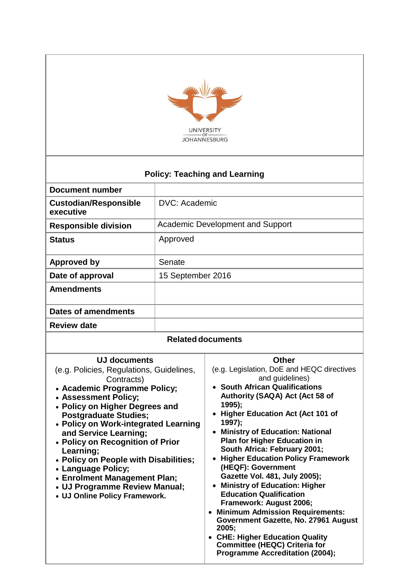

# **Policy: Teaching and Learning**

| <b>Document number</b>                    |                                         |  |
|-------------------------------------------|-----------------------------------------|--|
| <b>Custodian/Responsible</b><br>executive | DVC: Academic                           |  |
| <b>Responsible division</b>               | <b>Academic Development and Support</b> |  |
| <b>Status</b>                             | Approved                                |  |
| <b>Approved by</b>                        | Senate                                  |  |
| Date of approval                          | 15 September 2016                       |  |
| <b>Amendments</b>                         |                                         |  |
| <b>Dates of amendments</b>                |                                         |  |
| <b>Review date</b>                        |                                         |  |
| <b>Related documents</b>                  |                                         |  |

## **UJ documents**

(e.g. Policies, Regulations, Guidelines, Contracts) **Academic Programme Policy; Assessment Policy; Policy on Higher Degrees and Postgraduate Studies; Policy on Work-integrated Learning and Service Learning;**

- **Policy on Recognition of Prior Learning;**
- **Policy on People with Disabilities;**
- **Language Policy;**
- **Enrolment Management Plan;**
- **UJ Programme Review Manual;**
- **UJ Online Policy Framework.**

#### **Other**

- (e.g. Legislation, DoE and HEQC directives and guidelines)
- **South African Qualifications Authority (SAQA) Act (Act 58 of 1995);**
- **Higher Education Act (Act 101 of 1997);**
- **Ministry of Education: National Plan for Higher Education in South Africa: February 2001;**
- **Higher Education Policy Framework (HEQF): Government Gazette Vol. 481, July 2005);**
- **Ministry of Education: Higher Education Qualification Framework: August 2006;**
- **Minimum Admission Requirements: Government Gazette, No. 27961 August 2005;**
- **CHE: Higher Education Quality Committee (HEQC) Criteria for Programme Accreditation (2004);**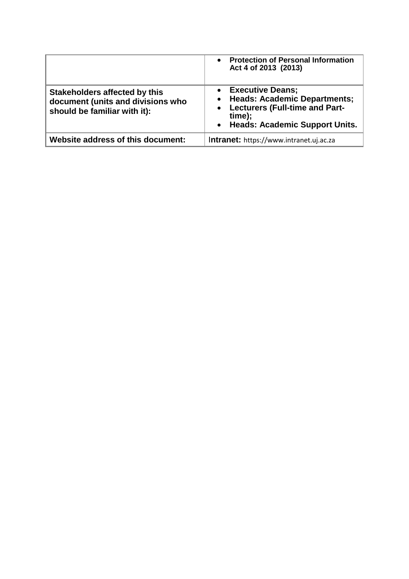|                                                                                                           | <b>Protection of Personal Information</b><br>$\bullet$<br>Act 4 of 2013 (2013)                                                                                |
|-----------------------------------------------------------------------------------------------------------|---------------------------------------------------------------------------------------------------------------------------------------------------------------|
| <b>Stakeholders affected by this</b><br>document (units and divisions who<br>should be familiar with it): | <b>Executive Deans;</b><br><b>Heads: Academic Departments;</b><br>$\bullet$<br>• Lecturers (Full-time and Part-<br>time);<br>• Heads: Academic Support Units. |
| Website address of this document:                                                                         | Intranet: https://www.intranet.uj.ac.za                                                                                                                       |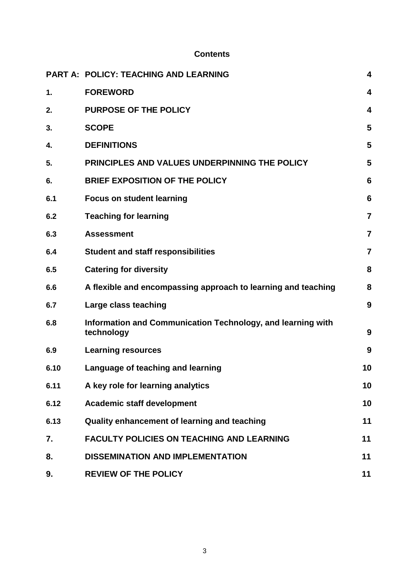## **Contents**

|      | <b>PART A: POLICY: TEACHING AND LEARNING</b>                              | $\overline{\mathbf{4}}$ |
|------|---------------------------------------------------------------------------|-------------------------|
| 1.   | <b>FOREWORD</b>                                                           | 4                       |
| 2.   | <b>PURPOSE OF THE POLICY</b>                                              | 4                       |
| 3.   | <b>SCOPE</b>                                                              | 5                       |
| 4.   | <b>DEFINITIONS</b>                                                        | 5                       |
| 5.   | PRINCIPLES AND VALUES UNDERPINNING THE POLICY                             | 5                       |
| 6.   | <b>BRIEF EXPOSITION OF THE POLICY</b>                                     | 6                       |
| 6.1  | <b>Focus on student learning</b>                                          | 6                       |
| 6.2  | <b>Teaching for learning</b>                                              | $\overline{7}$          |
| 6.3  | <b>Assessment</b>                                                         | $\overline{7}$          |
| 6.4  | <b>Student and staff responsibilities</b>                                 | 7                       |
| 6.5  | <b>Catering for diversity</b>                                             | 8                       |
| 6.6  | A flexible and encompassing approach to learning and teaching             | 8                       |
| 6.7  | Large class teaching                                                      | 9                       |
| 6.8  | Information and Communication Technology, and learning with<br>technology | 9                       |
| 6.9  | <b>Learning resources</b>                                                 | 9                       |
| 6.10 | Language of teaching and learning                                         | 10                      |
| 6.11 | A key role for learning analytics                                         | 10                      |
| 6.12 | <b>Academic staff development</b>                                         | 10                      |
| 6.13 | Quality enhancement of learning and teaching                              | 11                      |
| 7.   | <b>FACULTY POLICIES ON TEACHING AND LEARNING</b>                          | 11                      |
| 8.   | <b>DISSEMINATION AND IMPLEMENTATION</b>                                   | 11                      |
| 9.   | <b>REVIEW OF THE POLICY</b>                                               | 11                      |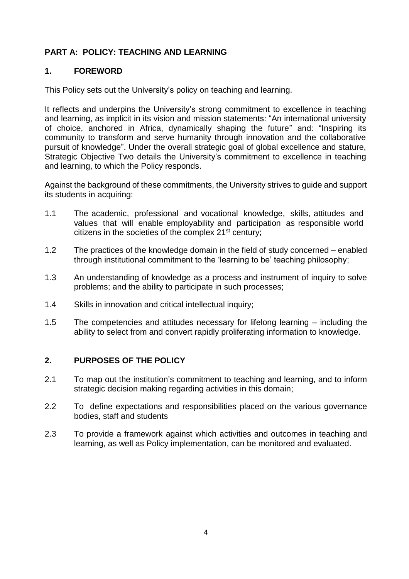# **PART A: POLICY: TEACHING AND LEARNING**

# **1. FOREWORD**

This Policy sets out the University's policy on teaching and learning.

It reflects and underpins the University's strong commitment to excellence in teaching and learning, as implicit in its vision and mission statements: "An international university of choice, anchored in Africa, dynamically shaping the future" and: "Inspiring its community to transform and serve humanity through innovation and the collaborative pursuit of knowledge". Under the overall strategic goal of global excellence and stature, Strategic Objective Two details the University's commitment to excellence in teaching and learning, to which the Policy responds.

Against the background of these commitments, the University strives to guide and support its students in acquiring:

- 1.1 The academic, professional and vocational knowledge, skills, attitudes and values that will enable employability and participation as responsible world citizens in the societies of the complex  $21<sup>st</sup>$  century;
- 1.2 The practices of the knowledge domain in the field of study concerned enabled through institutional commitment to the 'learning to be' teaching philosophy;
- 1.3 An understanding of knowledge as a process and instrument of inquiry to solve problems; and the ability to participate in such processes;
- 1.4 Skills in innovation and critical intellectual inquiry;
- 1.5 The competencies and attitudes necessary for lifelong learning including the ability to select from and convert rapidly proliferating information to knowledge.

## **2. PURPOSES OF THE POLICY**

- 2.1 To map out the institution's commitment to teaching and learning, and to inform strategic decision making regarding activities in this domain;
- 2.2 To define expectations and responsibilities placed on the various governance bodies, staff and students
- 2.3 To provide a framework against which activities and outcomes in teaching and learning, as well as Policy implementation, can be monitored and evaluated.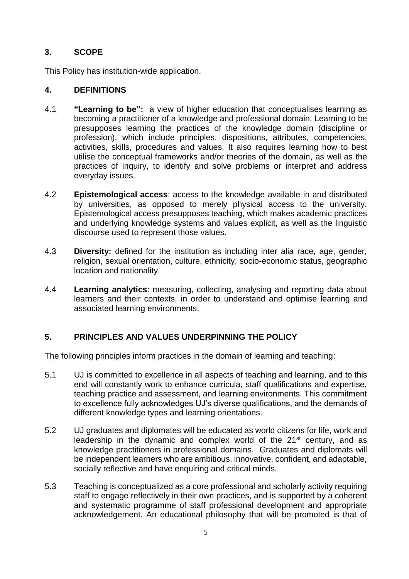# **3. SCOPE**

This Policy has institution-wide application.

## **4. DEFINITIONS**

- 4.1 **"Learning to be":** a view of higher education that conceptualises learning as becoming a practitioner of a knowledge and professional domain. Learning to be presupposes learning the practices of the knowledge domain (discipline or profession), which include principles, dispositions, attributes, competencies, activities, skills, procedures and values. It also requires learning how to best utilise the conceptual frameworks and/or theories of the domain, as well as the practices of inquiry, to identify and solve problems or interpret and address everyday issues.
- 4.2 **Epistemological access**: access to the knowledge available in and distributed by universities, as opposed to merely physical access to the university. Epistemological access presupposes teaching, which makes academic practices and underlying knowledge systems and values explicit, as well as the linguistic discourse used to represent those values.
- 4.3 **Diversity:** defined for the institution as including inter alia race, age, gender, religion, sexual orientation, culture, ethnicity, socio-economic status, geographic location and nationality.
- 4.4 **Learning analytics**: measuring, collecting, analysing and reporting data about learners and their contexts, in order to understand and optimise learning and associated learning environments.

## **5. PRINCIPLES AND VALUES UNDERPINNING THE POLICY**

The following principles inform practices in the domain of learning and teaching:

- 5.1 UJ is committed to excellence in all aspects of teaching and learning, and to this end will constantly work to enhance curricula, staff qualifications and expertise, teaching practice and assessment, and learning environments. This commitment to excellence fully acknowledges UJ's diverse qualifications, and the demands of different knowledge types and learning orientations.
- 5.2 UJ graduates and diplomates will be educated as world citizens for life, work and leadership in the dynamic and complex world of the  $21<sup>st</sup>$  century, and as knowledge practitioners in professional domains. Graduates and diplomats will be independent learners who are ambitious, innovative, confident, and adaptable, socially reflective and have enquiring and critical minds.
- 5.3 Teaching is conceptualized as a core professional and scholarly activity requiring staff to engage reflectively in their own practices, and is supported by a coherent and systematic programme of staff professional development and appropriate acknowledgement. An educational philosophy that will be promoted is that of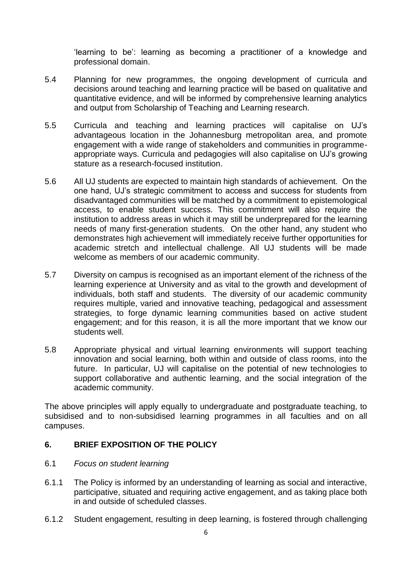'learning to be': learning as becoming a practitioner of a knowledge and professional domain.

- 5.4 Planning for new programmes, the ongoing development of curricula and decisions around teaching and learning practice will be based on qualitative and quantitative evidence, and will be informed by comprehensive learning analytics and output from Scholarship of Teaching and Learning research.
- 5.5 Curricula and teaching and learning practices will capitalise on UJ's advantageous location in the Johannesburg metropolitan area, and promote engagement with a wide range of stakeholders and communities in programmeappropriate ways. Curricula and pedagogies will also capitalise on UJ's growing stature as a research-focused institution.
- 5.6 All UJ students are expected to maintain high standards of achievement. On the one hand, UJ's strategic commitment to access and success for students from disadvantaged communities will be matched by a commitment to epistemological access, to enable student success. This commitment will also require the institution to address areas in which it may still be underprepared for the learning needs of many first-generation students. On the other hand, any student who demonstrates high achievement will immediately receive further opportunities for academic stretch and intellectual challenge. All UJ students will be made welcome as members of our academic community.
- 5.7 Diversity on campus is recognised as an important element of the richness of the learning experience at University and as vital to the growth and development of individuals, both staff and students. The diversity of our academic community requires multiple, varied and innovative teaching, pedagogical and assessment strategies, to forge dynamic learning communities based on active student engagement; and for this reason, it is all the more important that we know our students well.
- 5.8 Appropriate physical and virtual learning environments will support teaching innovation and social learning, both within and outside of class rooms, into the future. In particular, UJ will capitalise on the potential of new technologies to support collaborative and authentic learning, and the social integration of the academic community.

The above principles will apply equally to undergraduate and postgraduate teaching, to subsidised and to non-subsidised learning programmes in all faculties and on all campuses.

## **6. BRIEF EXPOSITION OF THE POLICY**

- 6.1 *Focus on student learning*
- 6.1.1 The Policy is informed by an understanding of learning as social and interactive, participative, situated and requiring active engagement, and as taking place both in and outside of scheduled classes.
- 6.1.2 Student engagement, resulting in deep learning, is fostered through challenging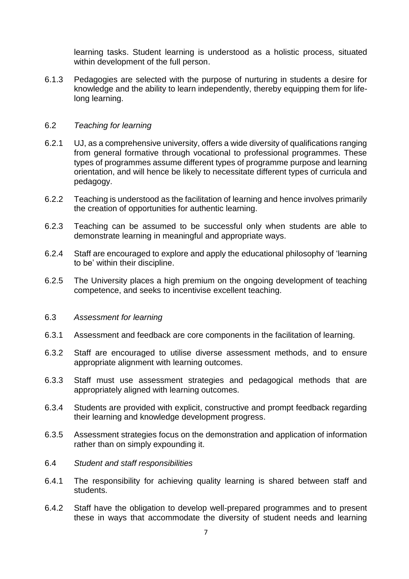learning tasks. Student learning is understood as a holistic process, situated within development of the full person.

6.1.3 Pedagogies are selected with the purpose of nurturing in students a desire for knowledge and the ability to learn independently, thereby equipping them for lifelong learning.

#### 6.2 *Teaching for learning*

- 6.2.1 UJ, as a comprehensive university, offers a wide diversity of qualifications ranging from general formative through vocational to professional programmes. These types of programmes assume different types of programme purpose and learning orientation, and will hence be likely to necessitate different types of curricula and pedagogy.
- 6.2.2 Teaching is understood as the facilitation of learning and hence involves primarily the creation of opportunities for authentic learning.
- 6.2.3 Teaching can be assumed to be successful only when students are able to demonstrate learning in meaningful and appropriate ways.
- 6.2.4 Staff are encouraged to explore and apply the educational philosophy of 'learning to be' within their discipline.
- 6.2.5 The University places a high premium on the ongoing development of teaching competence, and seeks to incentivise excellent teaching.

#### 6.3 *Assessment for learning*

- 6.3.1 Assessment and feedback are core components in the facilitation of learning.
- 6.3.2 Staff are encouraged to utilise diverse assessment methods, and to ensure appropriate alignment with learning outcomes.
- 6.3.3 Staff must use assessment strategies and pedagogical methods that are appropriately aligned with learning outcomes.
- 6.3.4 Students are provided with explicit, constructive and prompt feedback regarding their learning and knowledge development progress.
- 6.3.5 Assessment strategies focus on the demonstration and application of information rather than on simply expounding it.
- 6.4 *Student and staff responsibilities*
- 6.4.1 The responsibility for achieving quality learning is shared between staff and students.
- 6.4.2 Staff have the obligation to develop well-prepared programmes and to present these in ways that accommodate the diversity of student needs and learning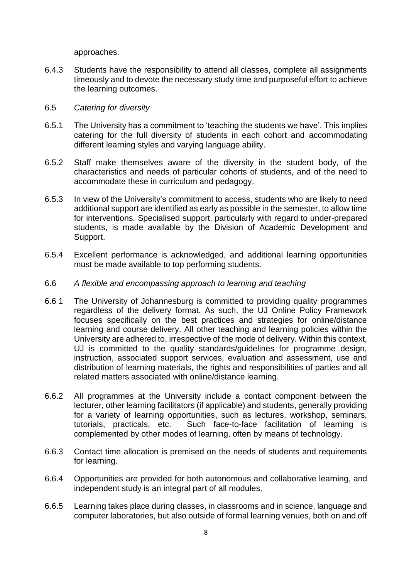approaches.

6.4.3 Students have the responsibility to attend all classes, complete all assignments timeously and to devote the necessary study time and purposeful effort to achieve the learning outcomes.

#### 6.5 *Catering for diversity*

- 6.5.1 The University has a commitment to 'teaching the students we have'. This implies catering for the full diversity of students in each cohort and accommodating different learning styles and varying language ability.
- 6.5.2 Staff make themselves aware of the diversity in the student body, of the characteristics and needs of particular cohorts of students, and of the need to accommodate these in curriculum and pedagogy.
- 6.5.3 In view of the University's commitment to access, students who are likely to need additional support are identified as early as possible in the semester, to allow time for interventions. Specialised support, particularly with regard to under-prepared students, is made available by the Division of Academic Development and Support.
- 6.5.4 Excellent performance is acknowledged, and additional learning opportunities must be made available to top performing students.
- 6.6 *A flexible and encompassing approach to learning and teaching*
- 6.6 1 The University of Johannesburg is committed to providing quality programmes regardless of the delivery format. As such, the UJ Online Policy Framework focuses specifically on the best practices and strategies for online/distance learning and course delivery. All other teaching and learning policies within the University are adhered to, irrespective of the mode of delivery. Within this context, UJ is committed to the quality standards/guidelines for programme design, instruction, associated support services, evaluation and assessment, use and distribution of learning materials, the rights and responsibilities of parties and all related matters associated with online/distance learning.
- 6.6.2 All programmes at the University include a contact component between the lecturer, other learning facilitators (if applicable) and students, generally providing for a variety of learning opportunities, such as lectures, workshop, seminars, tutorials, practicals, etc. Such face-to-face facilitation of learning is complemented by other modes of learning, often by means of technology.
- 6.6.3 Contact time allocation is premised on the needs of students and requirements for learning.
- 6.6.4 Opportunities are provided for both autonomous and collaborative learning, and independent study is an integral part of all modules.
- 6.6.5 Learning takes place during classes, in classrooms and in science, language and computer laboratories, but also outside of formal learning venues, both on and off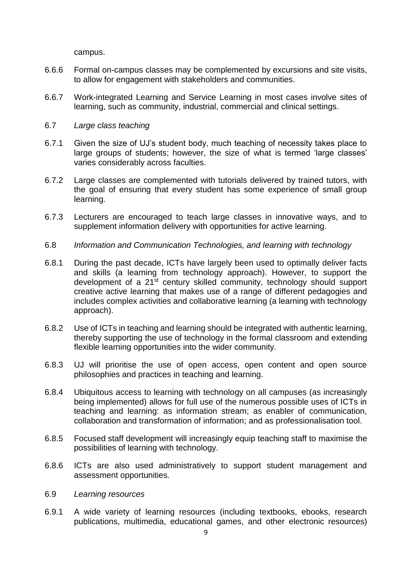campus.

- 6.6.6 Formal on-campus classes may be complemented by excursions and site visits, to allow for engagement with stakeholders and communities.
- 6.6.7 Work-integrated Learning and Service Learning in most cases involve sites of learning, such as community, industrial, commercial and clinical settings.

#### 6.7 *Large class teaching*

- 6.7.1 Given the size of UJ's student body, much teaching of necessity takes place to large groups of students; however, the size of what is termed 'large classes' varies considerably across faculties.
- 6.7.2 Large classes are complemented with tutorials delivered by trained tutors, with the goal of ensuring that every student has some experience of small group learning.
- 6.7.3 Lecturers are encouraged to teach large classes in innovative ways, and to supplement information delivery with opportunities for active learning.
- 6.8 *Information and Communication Technologies, and learning with technology*
- 6.8.1 During the past decade, ICTs have largely been used to optimally deliver facts and skills (a learning from technology approach). However, to support the development of a 21st century skilled community, technology should support creative active learning that makes use of a range of different pedagogies and includes complex activities and collaborative learning (a learning with technology approach).
- 6.8.2 Use of ICTs in teaching and learning should be integrated with authentic learning, thereby supporting the use of technology in the formal classroom and extending flexible learning opportunities into the wider community.
- 6.8.3 UJ will prioritise the use of open access, open content and open source philosophies and practices in teaching and learning.
- 6.8.4 Ubiquitous access to learning with technology on all campuses (as increasingly being implemented) allows for full use of the numerous possible uses of ICTs in teaching and learning: as information stream; as enabler of communication, collaboration and transformation of information; and as professionalisation tool.
- 6.8.5 Focused staff development will increasingly equip teaching staff to maximise the possibilities of learning with technology.
- 6.8.6 ICTs are also used administratively to support student management and assessment opportunities.
- 6.9 *Learning resources*
- 6.9.1 A wide variety of learning resources (including textbooks, ebooks, research publications, multimedia, educational games, and other electronic resources)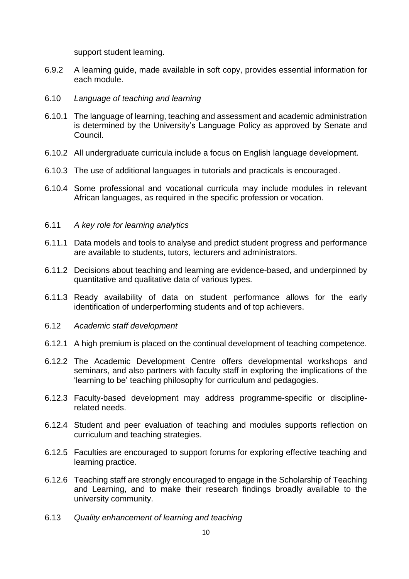support student learning.

- 6.9.2 A learning guide, made available in soft copy, provides essential information for each module.
- 6.10 *Language of teaching and learning*
- 6.10.1 The language of learning, teaching and assessment and academic administration is determined by the University's Language Policy as approved by Senate and Council.
- 6.10.2 All undergraduate curricula include a focus on English language development.
- 6.10.3 The use of additional languages in tutorials and practicals is encouraged.
- 6.10.4 Some professional and vocational curricula may include modules in relevant African languages, as required in the specific profession or vocation.

#### 6.11 *A key role for learning analytics*

- 6.11.1 Data models and tools to analyse and predict student progress and performance are available to students, tutors, lecturers and administrators.
- 6.11.2 Decisions about teaching and learning are evidence-based, and underpinned by quantitative and qualitative data of various types.
- 6.11.3 Ready availability of data on student performance allows for the early identification of underperforming students and of top achievers.
- 6.12 *Academic staff development*
- 6.12.1 A high premium is placed on the continual development of teaching competence.
- 6.12.2 The Academic Development Centre offers developmental workshops and seminars, and also partners with faculty staff in exploring the implications of the 'learning to be' teaching philosophy for curriculum and pedagogies.
- 6.12.3 Faculty-based development may address programme-specific or disciplinerelated needs.
- 6.12.4 Student and peer evaluation of teaching and modules supports reflection on curriculum and teaching strategies.
- 6.12.5 Faculties are encouraged to support forums for exploring effective teaching and learning practice.
- 6.12.6 Teaching staff are strongly encouraged to engage in the Scholarship of Teaching and Learning, and to make their research findings broadly available to the university community.
- 6.13 *Quality enhancement of learning and teaching*